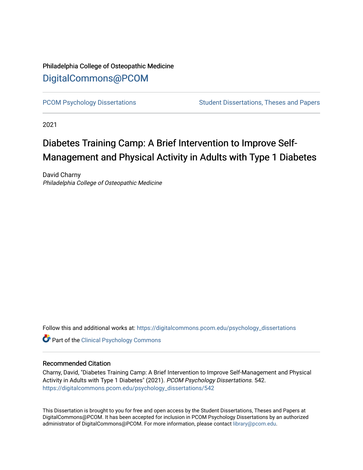# Philadelphia College of Osteopathic Medicine [DigitalCommons@PCOM](https://digitalcommons.pcom.edu/)

[PCOM Psychology Dissertations](https://digitalcommons.pcom.edu/psychology_dissertations) Student Dissertations, Theses and Papers

2021

# Diabetes Training Camp: A Brief Intervention to Improve Self-Management and Physical Activity in Adults with Type 1 Diabetes

David Charny Philadelphia College of Osteopathic Medicine

Follow this and additional works at: [https://digitalcommons.pcom.edu/psychology\\_dissertations](https://digitalcommons.pcom.edu/psychology_dissertations?utm_source=digitalcommons.pcom.edu%2Fpsychology_dissertations%2F542&utm_medium=PDF&utm_campaign=PDFCoverPages)

**Part of the Clinical Psychology Commons** 

#### Recommended Citation

Charny, David, "Diabetes Training Camp: A Brief Intervention to Improve Self-Management and Physical Activity in Adults with Type 1 Diabetes" (2021). PCOM Psychology Dissertations. 542. [https://digitalcommons.pcom.edu/psychology\\_dissertations/542](https://digitalcommons.pcom.edu/psychology_dissertations/542?utm_source=digitalcommons.pcom.edu%2Fpsychology_dissertations%2F542&utm_medium=PDF&utm_campaign=PDFCoverPages) 

This Dissertation is brought to you for free and open access by the Student Dissertations, Theses and Papers at DigitalCommons@PCOM. It has been accepted for inclusion in PCOM Psychology Dissertations by an authorized administrator of DigitalCommons@PCOM. For more information, please contact [library@pcom.edu.](mailto:library@pcom.edu)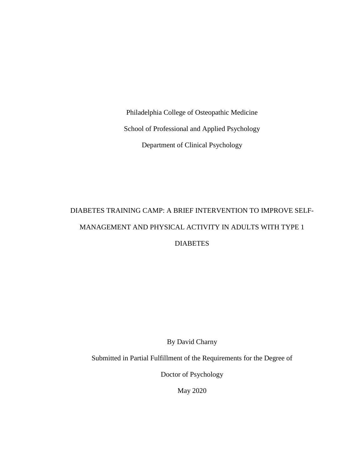Philadelphia College of Osteopathic Medicine School of Professional and Applied Psychology Department of Clinical Psychology

# DIABETES TRAINING CAMP: A BRIEF INTERVENTION TO IMPROVE SELF-MANAGEMENT AND PHYSICAL ACTIVITY IN ADULTS WITH TYPE 1 **DIABETES**

By David Charny

Submitted in Partial Fulfillment of the Requirements for the Degree of

Doctor of Psychology

May 2020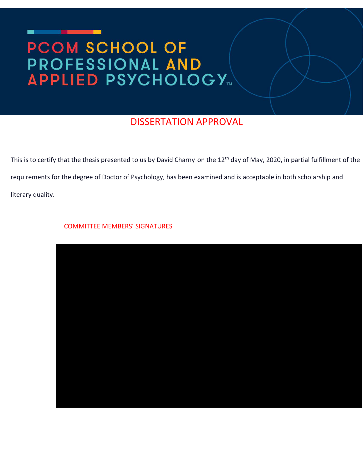# **PCOM SCHOOL OF** PROFESSIONAL AND

# DISSERTATION APPROVAL

This is to certify that the thesis presented to us by David Charny on the 12<sup>th</sup> day of May, 2020, in partial fulfillment of the requirements for the degree of Doctor of Psychology, has been examined and is acceptable in both scholarship and literary quality.

COMMITTEE MEMBERS' SIGNATURES

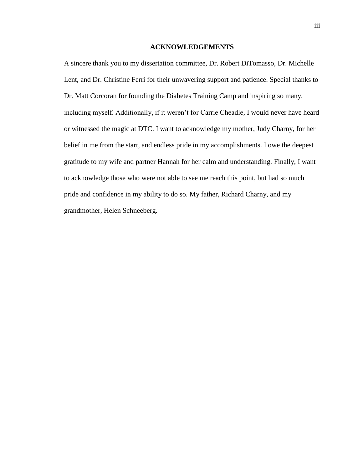#### **ACKNOWLEDGEMENTS**

A sincere thank you to my dissertation committee, Dr. Robert DiTomasso, Dr. Michelle Lent, and Dr. Christine Ferri for their unwavering support and patience. Special thanks to Dr. Matt Corcoran for founding the Diabetes Training Camp and inspiring so many, including myself. Additionally, if it weren't for Carrie Cheadle, I would never have heard or witnessed the magic at DTC. I want to acknowledge my mother, Judy Charny, for her belief in me from the start, and endless pride in my accomplishments. I owe the deepest gratitude to my wife and partner Hannah for her calm and understanding. Finally, I want to acknowledge those who were not able to see me reach this point, but had so much pride and confidence in my ability to do so. My father, Richard Charny, and my grandmother, Helen Schneeberg.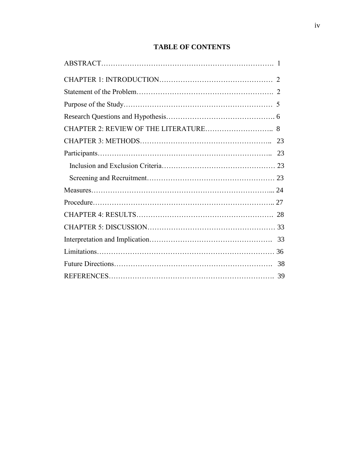# **TABLE OF CONTENTS**

| CHAPTER 2: REVIEW OF THE LITERATURE 8 |  |
|---------------------------------------|--|
|                                       |  |
|                                       |  |
|                                       |  |
|                                       |  |
|                                       |  |
|                                       |  |
|                                       |  |
|                                       |  |
|                                       |  |
|                                       |  |
|                                       |  |
|                                       |  |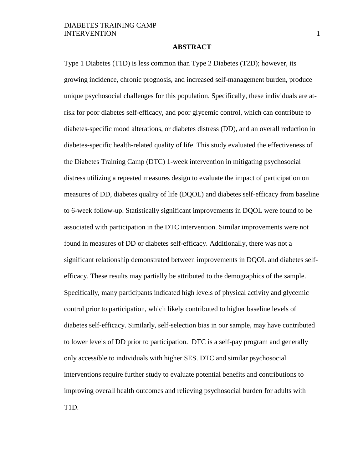#### **ABSTRACT**

Type 1 Diabetes (T1D) is less common than Type 2 Diabetes (T2D); however, its growing incidence, chronic prognosis, and increased self-management burden, produce unique psychosocial challenges for this population. Specifically, these individuals are atrisk for poor diabetes self-efficacy, and poor glycemic control, which can contribute to diabetes-specific mood alterations, or diabetes distress (DD), and an overall reduction in diabetes-specific health-related quality of life. This study evaluated the effectiveness of the Diabetes Training Camp (DTC) 1-week intervention in mitigating psychosocial distress utilizing a repeated measures design to evaluate the impact of participation on measures of DD, diabetes quality of life (DQOL) and diabetes self-efficacy from baseline to 6-week follow-up. Statistically significant improvements in DQOL were found to be associated with participation in the DTC intervention. Similar improvements were not found in measures of DD or diabetes self-efficacy. Additionally, there was not a significant relationship demonstrated between improvements in DQOL and diabetes selfefficacy. These results may partially be attributed to the demographics of the sample. Specifically, many participants indicated high levels of physical activity and glycemic control prior to participation, which likely contributed to higher baseline levels of diabetes self-efficacy. Similarly, self-selection bias in our sample, may have contributed to lower levels of DD prior to participation. DTC is a self-pay program and generally only accessible to individuals with higher SES. DTC and similar psychosocial interventions require further study to evaluate potential benefits and contributions to improving overall health outcomes and relieving psychosocial burden for adults with T1D.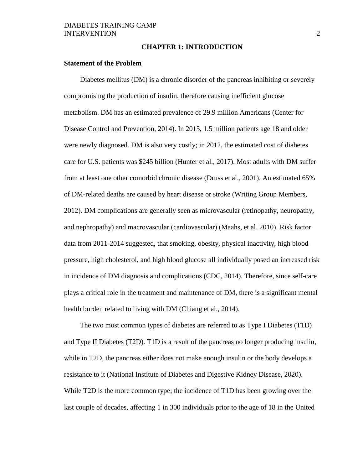#### **CHAPTER 1: INTRODUCTION**

#### **Statement of the Problem**

Diabetes mellitus (DM) is a chronic disorder of the pancreas inhibiting or severely compromising the production of insulin, therefore causing inefficient glucose metabolism. DM has an estimated prevalence of 29.9 million Americans (Center for Disease Control and Prevention, 2014). In 2015, 1.5 million patients age 18 and older were newly diagnosed. DM is also very costly; in 2012, the estimated cost of diabetes care for U.S. patients was \$245 billion (Hunter et al., 2017). Most adults with DM suffer from at least one other comorbid chronic disease (Druss et al., 2001). An estimated 65% of DM-related deaths are caused by heart disease or stroke (Writing Group Members, 2012). DM complications are generally seen as microvascular (retinopathy, neuropathy, and nephropathy) and macrovascular (cardiovascular) (Maahs, et al. 2010). Risk factor data from 2011-2014 suggested, that smoking, obesity, physical inactivity, high blood pressure, high cholesterol, and high blood glucose all individually posed an increased risk in incidence of DM diagnosis and complications (CDC, 2014). Therefore, since self-care plays a critical role in the treatment and maintenance of DM, there is a significant mental health burden related to living with DM (Chiang et al., 2014).

The two most common types of diabetes are referred to as Type I Diabetes (T1D) and Type II Diabetes (T2D). T1D is a result of the pancreas no longer producing insulin, while in T2D, the pancreas either does not make enough insulin or the body develops a resistance to it (National Institute of Diabetes and Digestive Kidney Disease, 2020). While T2D is the more common type; the incidence of T1D has been growing over the last couple of decades, affecting 1 in 300 individuals prior to the age of 18 in the United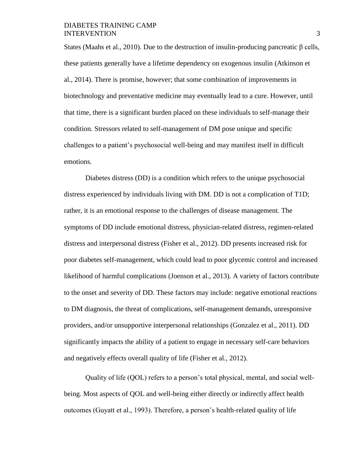States (Maahs et al., 2010). Due to the destruction of insulin-producing pancreatic β cells, these patients generally have a lifetime dependency on exogenous insulin (Atkinson et al., 2014). There is promise, however; that some combination of improvements in biotechnology and preventative medicine may eventually lead to a cure. However, until that time, there is a significant burden placed on these individuals to self-manage their condition. Stressors related to self-management of DM pose unique and specific challenges to a patient's psychosocial well-being and may manifest itself in difficult emotions.

Diabetes distress (DD) is a condition which refers to the unique psychosocial distress experienced by individuals living with DM. DD is not a complication of T1D; rather, it is an emotional response to the challenges of disease management. The symptoms of DD include emotional distress, physician-related distress, regimen-related distress and interpersonal distress (Fisher et al., 2012). DD presents increased risk for poor diabetes self-management, which could lead to poor glycemic control and increased likelihood of harmful complications (Joenson et al., 2013). A variety of factors contribute to the onset and severity of DD. These factors may include: negative emotional reactions to DM diagnosis, the threat of complications, self-management demands, unresponsive providers, and/or unsupportive interpersonal relationships (Gonzalez et al., 2011). DD significantly impacts the ability of a patient to engage in necessary self-care behaviors and negatively effects overall quality of life (Fisher et al., 2012).

Quality of life (QOL) refers to a person's total physical, mental, and social wellbeing. Most aspects of QOL and well-being either directly or indirectly affect health outcomes (Guyatt et al., 1993). Therefore, a person's health-related quality of life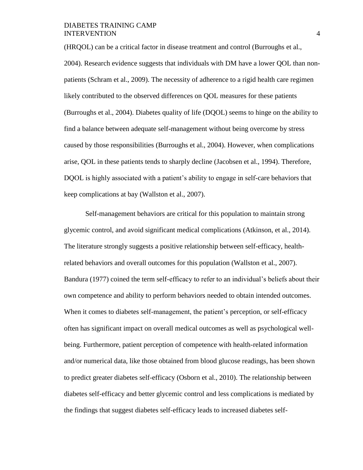(HRQOL) can be a critical factor in disease treatment and control (Burroughs et al., 2004). Research evidence suggests that individuals with DM have a lower QOL than nonpatients (Schram et al., 2009). The necessity of adherence to a rigid health care regimen likely contributed to the observed differences on QOL measures for these patients (Burroughs et al., 2004). Diabetes quality of life (DQOL) seems to hinge on the ability to find a balance between adequate self-management without being overcome by stress caused by those responsibilities (Burroughs et al., 2004). However, when complications arise, QOL in these patients tends to sharply decline (Jacobsen et al., 1994). Therefore, DQOL is highly associated with a patient's ability to engage in self-care behaviors that keep complications at bay (Wallston et al., 2007).

Self-management behaviors are critical for this population to maintain strong glycemic control, and avoid significant medical complications (Atkinson, et al., 2014). The literature strongly suggests a positive relationship between self-efficacy, healthrelated behaviors and overall outcomes for this population (Wallston et al., 2007). Bandura (1977) coined the term self-efficacy to refer to an individual's beliefs about their own competence and ability to perform behaviors needed to obtain intended outcomes. When it comes to diabetes self-management, the patient's perception, or self-efficacy often has significant impact on overall medical outcomes as well as psychological wellbeing. Furthermore, patient perception of competence with health-related information and/or numerical data, like those obtained from blood glucose readings, has been shown to predict greater diabetes self-efficacy (Osborn et al., 2010). The relationship between diabetes self-efficacy and better glycemic control and less complications is mediated by the findings that suggest diabetes self-efficacy leads to increased diabetes self-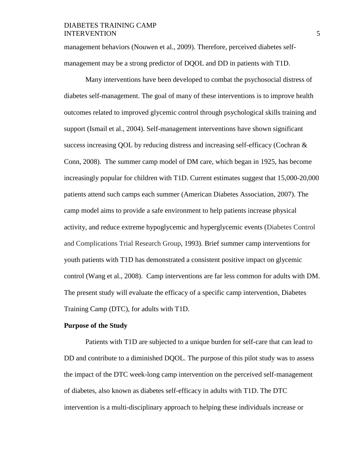management behaviors (Nouwen et al., 2009). Therefore, perceived diabetes selfmanagement may be a strong predictor of DQOL and DD in patients with T1D.

Many interventions have been developed to combat the psychosocial distress of diabetes self-management. The goal of many of these interventions is to improve health outcomes related to improved glycemic control through psychological skills training and support (Ismail et al., 2004). Self-management interventions have shown significant success increasing QOL by reducing distress and increasing self-efficacy (Cochran & Conn, 2008). The summer camp model of DM care, which began in 1925, has become increasingly popular for children with T1D. Current estimates suggest that 15,000-20,000 patients attend such camps each summer (American Diabetes Association, 2007). The camp model aims to provide a safe environment to help patients increase physical activity, and reduce extreme hypoglycemic and hyperglycemic events (Diabetes Control and Complications Trial Research Group, 1993). Brief summer camp interventions for youth patients with T1D has demonstrated a consistent positive impact on glycemic control (Wang et al., 2008). Camp interventions are far less common for adults with DM. The present study will evaluate the efficacy of a specific camp intervention, Diabetes Training Camp (DTC), for adults with T1D.

#### **Purpose of the Study**

Patients with T1D are subjected to a unique burden for self-care that can lead to DD and contribute to a diminished DQOL. The purpose of this pilot study was to assess the impact of the DTC week-long camp intervention on the perceived self-management of diabetes, also known as diabetes self-efficacy in adults with T1D. The DTC intervention is a multi-disciplinary approach to helping these individuals increase or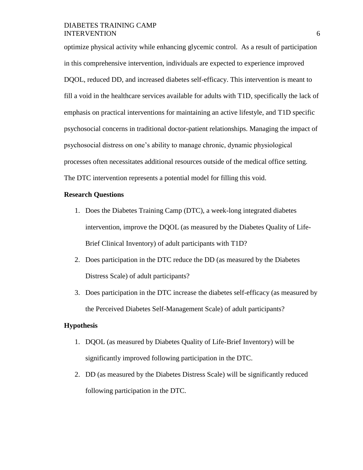optimize physical activity while enhancing glycemic control. As a result of participation in this comprehensive intervention, individuals are expected to experience improved DQOL, reduced DD, and increased diabetes self-efficacy. This intervention is meant to fill a void in the healthcare services available for adults with T1D, specifically the lack of emphasis on practical interventions for maintaining an active lifestyle, and T1D specific psychosocial concerns in traditional doctor-patient relationships. Managing the impact of psychosocial distress on one's ability to manage chronic, dynamic physiological processes often necessitates additional resources outside of the medical office setting. The DTC intervention represents a potential model for filling this void.

#### **Research Questions**

- 1. Does the Diabetes Training Camp (DTC), a week-long integrated diabetes intervention, improve the DQOL (as measured by the Diabetes Quality of Life-Brief Clinical Inventory) of adult participants with T1D?
- 2. Does participation in the DTC reduce the DD (as measured by the Diabetes Distress Scale) of adult participants?
- 3. Does participation in the DTC increase the diabetes self-efficacy (as measured by the Perceived Diabetes Self-Management Scale) of adult participants?

#### **Hypothesis**

- 1. DQOL (as measured by Diabetes Quality of Life-Brief Inventory) will be significantly improved following participation in the DTC.
- 2. DD (as measured by the Diabetes Distress Scale) will be significantly reduced following participation in the DTC.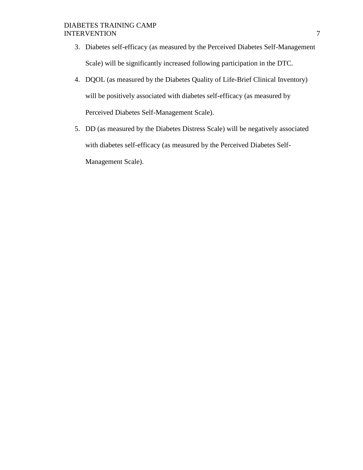- 3. Diabetes self-efficacy (as measured by the Perceived Diabetes Self-Management Scale) will be significantly increased following participation in the DTC.
- 4. DQOL (as measured by the Diabetes Quality of Life-Brief Clinical Inventory) will be positively associated with diabetes self-efficacy (as measured by Perceived Diabetes Self-Management Scale).
- 5. DD (as measured by the Diabetes Distress Scale) will be negatively associated with diabetes self-efficacy (as measured by the Perceived Diabetes Self-Management Scale).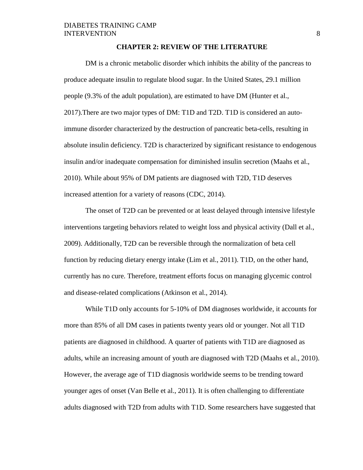#### **CHAPTER 2: REVIEW OF THE LITERATURE**

DM is a chronic metabolic disorder which inhibits the ability of the pancreas to produce adequate insulin to regulate blood sugar. In the United States, 29.1 million people (9.3% of the adult population), are estimated to have DM (Hunter et al., 2017).There are two major types of DM: T1D and T2D. T1D is considered an autoimmune disorder characterized by the destruction of pancreatic beta-cells, resulting in absolute insulin deficiency. T2D is characterized by significant resistance to endogenous insulin and/or inadequate compensation for diminished insulin secretion (Maahs et al., 2010). While about 95% of DM patients are diagnosed with T2D, T1D deserves increased attention for a variety of reasons (CDC, 2014).

The onset of T2D can be prevented or at least delayed through intensive lifestyle interventions targeting behaviors related to weight loss and physical activity (Dall et al., 2009). Additionally, T2D can be reversible through the normalization of beta cell function by reducing dietary energy intake (Lim et al., 2011). T1D, on the other hand, currently has no cure. Therefore, treatment efforts focus on managing glycemic control and disease-related complications (Atkinson et al., 2014).

While T1D only accounts for 5-10% of DM diagnoses worldwide, it accounts for more than 85% of all DM cases in patients twenty years old or younger. Not all T1D patients are diagnosed in childhood. A quarter of patients with T1D are diagnosed as adults, while an increasing amount of youth are diagnosed with T2D (Maahs et al., 2010). However, the average age of T1D diagnosis worldwide seems to be trending toward younger ages of onset (Van Belle et al., 2011). It is often challenging to differentiate adults diagnosed with T2D from adults with T1D. Some researchers have suggested that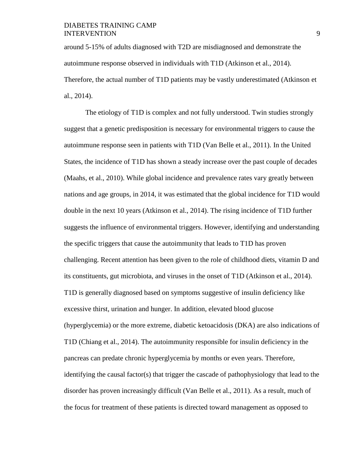around 5-15% of adults diagnosed with T2D are misdiagnosed and demonstrate the autoimmune response observed in individuals with T1D (Atkinson et al., 2014). Therefore, the actual number of T1D patients may be vastly underestimated (Atkinson et al., 2014).

The etiology of T1D is complex and not fully understood. Twin studies strongly suggest that a genetic predisposition is necessary for environmental triggers to cause the autoimmune response seen in patients with T1D (Van Belle et al., 2011). In the United States, the incidence of T1D has shown a steady increase over the past couple of decades (Maahs, et al., 2010). While global incidence and prevalence rates vary greatly between nations and age groups, in 2014, it was estimated that the global incidence for T1D would double in the next 10 years (Atkinson et al., 2014). The rising incidence of T1D further suggests the influence of environmental triggers. However, identifying and understanding the specific triggers that cause the autoimmunity that leads to T1D has proven challenging. Recent attention has been given to the role of childhood diets, vitamin D and its constituents, gut microbiota, and viruses in the onset of T1D (Atkinson et al., 2014). T1D is generally diagnosed based on symptoms suggestive of insulin deficiency like excessive thirst, urination and hunger. In addition, elevated blood glucose (hyperglycemia) or the more extreme, diabetic ketoacidosis (DKA) are also indications of T1D (Chiang et al., 2014). The autoimmunity responsible for insulin deficiency in the pancreas can predate chronic hyperglycemia by months or even years. Therefore, identifying the causal factor(s) that trigger the cascade of pathophysiology that lead to the disorder has proven increasingly difficult (Van Belle et al., 2011). As a result, much of the focus for treatment of these patients is directed toward management as opposed to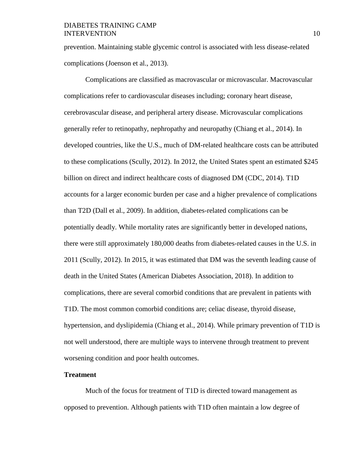prevention. Maintaining stable glycemic control is associated with less disease-related complications (Joenson et al., 2013).

Complications are classified as macrovascular or microvascular. Macrovascular complications refer to cardiovascular diseases including; coronary heart disease, cerebrovascular disease, and peripheral artery disease. Microvascular complications generally refer to retinopathy, nephropathy and neuropathy (Chiang et al., 2014). In developed countries, like the U.S., much of DM-related healthcare costs can be attributed to these complications (Scully, 2012). In 2012, the United States spent an estimated \$245 billion on direct and indirect healthcare costs of diagnosed DM (CDC, 2014). T1D accounts for a larger economic burden per case and a higher prevalence of complications than T2D (Dall et al., 2009). In addition, diabetes-related complications can be potentially deadly. While mortality rates are significantly better in developed nations, there were still approximately 180,000 deaths from diabetes-related causes in the U.S. in 2011 (Scully, 2012). In 2015, it was estimated that DM was the seventh leading cause of death in the United States (American Diabetes Association, 2018). In addition to complications, there are several comorbid conditions that are prevalent in patients with T1D. The most common comorbid conditions are; celiac disease, thyroid disease, hypertension, and dyslipidemia (Chiang et al., 2014). While primary prevention of T1D is not well understood, there are multiple ways to intervene through treatment to prevent worsening condition and poor health outcomes.

#### **Treatment**

Much of the focus for treatment of T1D is directed toward management as opposed to prevention. Although patients with T1D often maintain a low degree of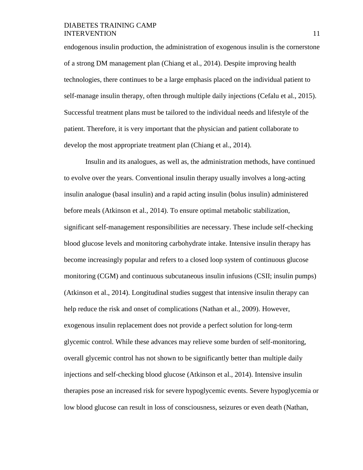endogenous insulin production, the administration of exogenous insulin is the cornerstone of a strong DM management plan (Chiang et al., 2014). Despite improving health technologies, there continues to be a large emphasis placed on the individual patient to self-manage insulin therapy, often through multiple daily injections (Cefalu et al., 2015). Successful treatment plans must be tailored to the individual needs and lifestyle of the patient. Therefore, it is very important that the physician and patient collaborate to develop the most appropriate treatment plan (Chiang et al., 2014).

Insulin and its analogues, as well as, the administration methods, have continued to evolve over the years. Conventional insulin therapy usually involves a long-acting insulin analogue (basal insulin) and a rapid acting insulin (bolus insulin) administered before meals (Atkinson et al., 2014). To ensure optimal metabolic stabilization, significant self-management responsibilities are necessary. These include self-checking blood glucose levels and monitoring carbohydrate intake. Intensive insulin therapy has become increasingly popular and refers to a closed loop system of continuous glucose monitoring (CGM) and continuous subcutaneous insulin infusions (CSII; insulin pumps) (Atkinson et al., 2014). Longitudinal studies suggest that intensive insulin therapy can help reduce the risk and onset of complications (Nathan et al., 2009). However, exogenous insulin replacement does not provide a perfect solution for long-term glycemic control. While these advances may relieve some burden of self-monitoring, overall glycemic control has not shown to be significantly better than multiple daily injections and self-checking blood glucose (Atkinson et al., 2014). Intensive insulin therapies pose an increased risk for severe hypoglycemic events. Severe hypoglycemia or low blood glucose can result in loss of consciousness, seizures or even death (Nathan*,*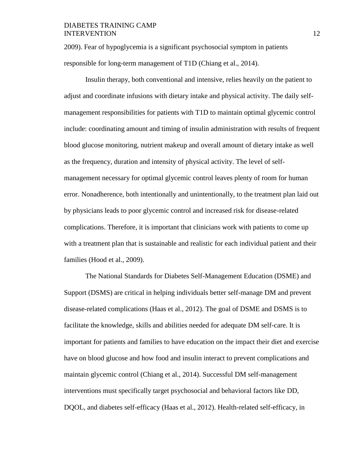2009). Fear of hypoglycemia is a significant psychosocial symptom in patients responsible for long-term management of T1D (Chiang et al., 2014).

Insulin therapy, both conventional and intensive, relies heavily on the patient to adjust and coordinate infusions with dietary intake and physical activity. The daily selfmanagement responsibilities for patients with T1D to maintain optimal glycemic control include: coordinating amount and timing of insulin administration with results of frequent blood glucose monitoring, nutrient makeup and overall amount of dietary intake as well as the frequency, duration and intensity of physical activity. The level of selfmanagement necessary for optimal glycemic control leaves plenty of room for human error. Nonadherence, both intentionally and unintentionally, to the treatment plan laid out by physicians leads to poor glycemic control and increased risk for disease-related complications. Therefore, it is important that clinicians work with patients to come up with a treatment plan that is sustainable and realistic for each individual patient and their families (Hood et al., 2009).

The National Standards for Diabetes Self-Management Education (DSME) and Support (DSMS) are critical in helping individuals better self-manage DM and prevent disease-related complications (Haas et al., 2012). The goal of DSME and DSMS is to facilitate the knowledge, skills and abilities needed for adequate DM self-care. It is important for patients and families to have education on the impact their diet and exercise have on blood glucose and how food and insulin interact to prevent complications and maintain glycemic control (Chiang et al., 2014). Successful DM self-management interventions must specifically target psychosocial and behavioral factors like DD, DQOL, and diabetes self-efficacy (Haas et al., 2012). Health-related self-efficacy, in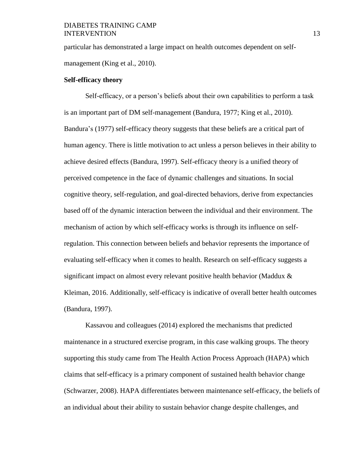particular has demonstrated a large impact on health outcomes dependent on selfmanagement (King et al., 2010).

#### **Self-efficacy theory**

Self-efficacy, or a person's beliefs about their own capabilities to perform a task is an important part of DM self-management (Bandura, 1977; King et al., 2010). Bandura's (1977) self-efficacy theory suggests that these beliefs are a critical part of human agency. There is little motivation to act unless a person believes in their ability to achieve desired effects (Bandura, 1997). Self-efficacy theory is a unified theory of perceived competence in the face of dynamic challenges and situations. In social cognitive theory, self-regulation, and goal-directed behaviors, derive from expectancies based off of the dynamic interaction between the individual and their environment. The mechanism of action by which self-efficacy works is through its influence on selfregulation. This connection between beliefs and behavior represents the importance of evaluating self-efficacy when it comes to health. Research on self-efficacy suggests a significant impact on almost every relevant positive health behavior (Maddux & Kleiman, 2016. Additionally, self-efficacy is indicative of overall better health outcomes (Bandura, 1997).

Kassavou and colleagues (2014) explored the mechanisms that predicted maintenance in a structured exercise program, in this case walking groups. The theory supporting this study came from The Health Action Process Approach (HAPA) which claims that self-efficacy is a primary component of sustained health behavior change (Schwarzer, 2008). HAPA differentiates between maintenance self-efficacy, the beliefs of an individual about their ability to sustain behavior change despite challenges, and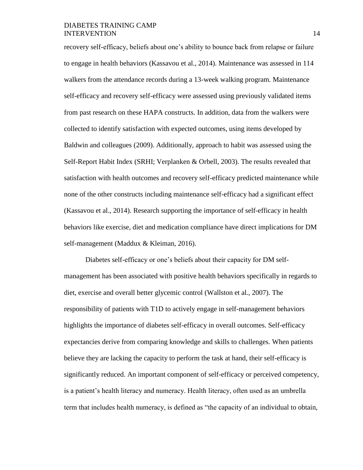recovery self-efficacy, beliefs about one's ability to bounce back from relapse or failure to engage in health behaviors (Kassavou et al., 2014). Maintenance was assessed in 114 walkers from the attendance records during a 13-week walking program. Maintenance self-efficacy and recovery self-efficacy were assessed using previously validated items from past research on these HAPA constructs. In addition, data from the walkers were collected to identify satisfaction with expected outcomes, using items developed by Baldwin and colleagues (2009). Additionally, approach to habit was assessed using the Self-Report Habit Index (SRHI; Verplanken & Orbell, 2003). The results revealed that satisfaction with health outcomes and recovery self-efficacy predicted maintenance while none of the other constructs including maintenance self-efficacy had a significant effect (Kassavou et al., 2014). Research supporting the importance of self-efficacy in health behaviors like exercise, diet and medication compliance have direct implications for DM self-management (Maddux & Kleiman, 2016).

Diabetes self-efficacy or one's beliefs about their capacity for DM selfmanagement has been associated with positive health behaviors specifically in regards to diet, exercise and overall better glycemic control (Wallston et al., 2007). The responsibility of patients with T1D to actively engage in self-management behaviors highlights the importance of diabetes self-efficacy in overall outcomes. Self-efficacy expectancies derive from comparing knowledge and skills to challenges. When patients believe they are lacking the capacity to perform the task at hand, their self-efficacy is significantly reduced. An important component of self-efficacy or perceived competency, is a patient's health literacy and numeracy. Health literacy, often used as an umbrella term that includes health numeracy, is defined as "the capacity of an individual to obtain,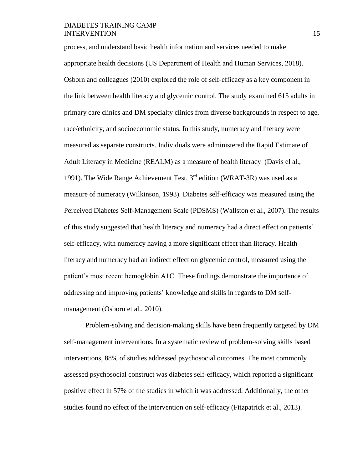process, and understand basic health information and services needed to make appropriate health decisions (US Department of Health and Human Services*,* 2018). Osborn and colleagues (2010) explored the role of self-efficacy as a key component in the link between health literacy and glycemic control. The study examined 615 adults in primary care clinics and DM specialty clinics from diverse backgrounds in respect to age, race/ethnicity, and socioeconomic status. In this study, numeracy and literacy were measured as separate constructs. Individuals were administered the Rapid Estimate of Adult Literacy in Medicine (REALM) as a measure of health literacy (Davis el al., 1991). The Wide Range Achievement Test,  $3<sup>rd</sup>$  edition (WRAT-3R) was used as a measure of numeracy (Wilkinson, 1993). Diabetes self-efficacy was measured using the Perceived Diabetes Self-Management Scale (PDSMS) (Wallston et al., 2007). The results of this study suggested that health literacy and numeracy had a direct effect on patients' self-efficacy, with numeracy having a more significant effect than literacy. Health literacy and numeracy had an indirect effect on glycemic control, measured using the patient's most recent hemoglobin A1C. These findings demonstrate the importance of addressing and improving patients' knowledge and skills in regards to DM selfmanagement (Osborn et al., 2010).

Problem-solving and decision-making skills have been frequently targeted by DM self-management interventions. In a systematic review of problem-solving skills based interventions, 88% of studies addressed psychosocial outcomes. The most commonly assessed psychosocial construct was diabetes self-efficacy, which reported a significant positive effect in 57% of the studies in which it was addressed. Additionally, the other studies found no effect of the intervention on self-efficacy (Fitzpatrick et al., 2013).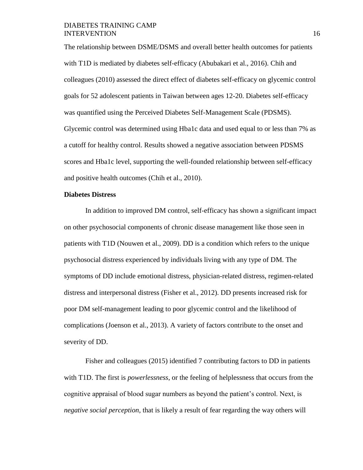The relationship between DSME/DSMS and overall better health outcomes for patients with T1D is mediated by diabetes self-efficacy (Abubakari et al., 2016). Chih and colleagues (2010) assessed the direct effect of diabetes self-efficacy on glycemic control goals for 52 adolescent patients in Taiwan between ages 12-20. Diabetes self-efficacy was quantified using the Perceived Diabetes Self-Management Scale (PDSMS). Glycemic control was determined using Hba1c data and used equal to or less than 7% as a cutoff for healthy control. Results showed a negative association between PDSMS scores and Hba1c level, supporting the well-founded relationship between self-efficacy and positive health outcomes (Chih et al., 2010).

#### **Diabetes Distress**

In addition to improved DM control, self-efficacy has shown a significant impact on other psychosocial components of chronic disease management like those seen in patients with T1D (Nouwen et al., 2009). DD is a condition which refers to the unique psychosocial distress experienced by individuals living with any type of DM. The symptoms of DD include emotional distress, physician-related distress, regimen-related distress and interpersonal distress (Fisher et al., 2012). DD presents increased risk for poor DM self-management leading to poor glycemic control and the likelihood of complications (Joenson et al., 2013). A variety of factors contribute to the onset and severity of DD.

Fisher and colleagues (2015) identified 7 contributing factors to DD in patients with T1D. The first is *powerlessness*, or the feeling of helplessness that occurs from the cognitive appraisal of blood sugar numbers as beyond the patient's control. Next, is *negative social perception*, that is likely a result of fear regarding the way others will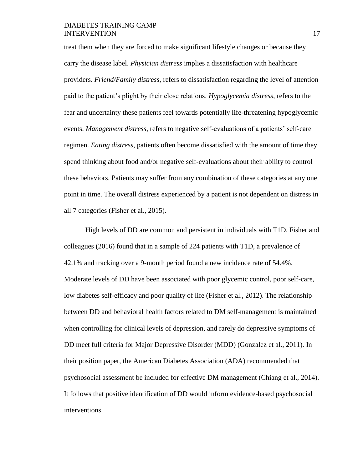treat them when they are forced to make significant lifestyle changes or because they carry the disease label. *Physician distress* implies a dissatisfaction with healthcare providers. *Friend/Family distress*, refers to dissatisfaction regarding the level of attention paid to the patient's plight by their close relations. *Hypoglycemia distress*, refers to the fear and uncertainty these patients feel towards potentially life-threatening hypoglycemic events. *Management distress*, refers to negative self-evaluations of a patients' self-care regimen. *Eating distress*, patients often become dissatisfied with the amount of time they spend thinking about food and/or negative self-evaluations about their ability to control these behaviors. Patients may suffer from any combination of these categories at any one point in time. The overall distress experienced by a patient is not dependent on distress in all 7 categories (Fisher et al., 2015).

High levels of DD are common and persistent in individuals with T1D. Fisher and colleagues (2016) found that in a sample of 224 patients with T1D, a prevalence of 42.1% and tracking over a 9-month period found a new incidence rate of 54.4%. Moderate levels of DD have been associated with poor glycemic control, poor self-care, low diabetes self-efficacy and poor quality of life (Fisher et al., 2012). The relationship between DD and behavioral health factors related to DM self-management is maintained when controlling for clinical levels of depression, and rarely do depressive symptoms of DD meet full criteria for Major Depressive Disorder (MDD) (Gonzalez et al., 2011). In their position paper, the American Diabetes Association (ADA) recommended that psychosocial assessment be included for effective DM management (Chiang et al., 2014). It follows that positive identification of DD would inform evidence-based psychosocial interventions.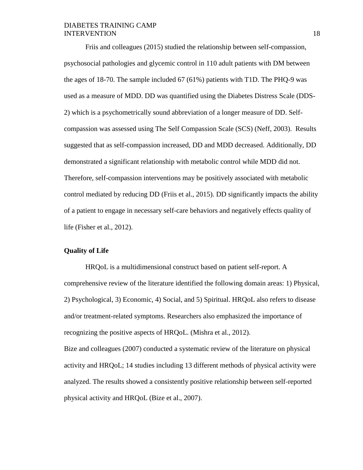Friis and colleagues (2015) studied the relationship between self-compassion, psychosocial pathologies and glycemic control in 110 adult patients with DM between the ages of 18-70. The sample included 67 (61%) patients with T1D. The PHQ-9 was used as a measure of MDD. DD was quantified using the Diabetes Distress Scale (DDS-2) which is a psychometrically sound abbreviation of a longer measure of DD. Selfcompassion was assessed using The Self Compassion Scale (SCS) (Neff, 2003). Results suggested that as self-compassion increased, DD and MDD decreased. Additionally, DD demonstrated a significant relationship with metabolic control while MDD did not. Therefore, self-compassion interventions may be positively associated with metabolic control mediated by reducing DD (Friis et al., 2015). DD significantly impacts the ability of a patient to engage in necessary self-care behaviors and negatively effects quality of life (Fisher et al., 2012).

#### **Quality of Life**

HRQoL is a multidimensional construct based on patient self-report. A comprehensive review of the literature identified the following domain areas: 1) Physical, 2) Psychological, 3) Economic, 4) Social, and 5) Spiritual. HRQoL also refers to disease and/or treatment-related symptoms. Researchers also emphasized the importance of recognizing the positive aspects of HRQoL. (Mishra et al., 2012). Bize and colleagues (2007) conducted a systematic review of the literature on physical activity and HRQoL; 14 studies including 13 different methods of physical activity were analyzed. The results showed a consistently positive relationship between self-reported

physical activity and HRQoL (Bize et al., 2007).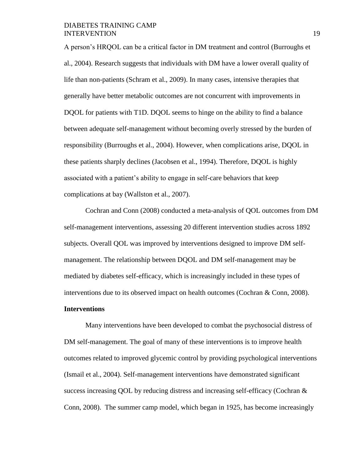A person's HRQOL can be a critical factor in DM treatment and control (Burroughs et al., 2004). Research suggests that individuals with DM have a lower overall quality of life than non-patients (Schram et al., 2009). In many cases, intensive therapies that generally have better metabolic outcomes are not concurrent with improvements in DQOL for patients with T1D. DQOL seems to hinge on the ability to find a balance between adequate self-management without becoming overly stressed by the burden of responsibility (Burroughs et al., 2004). However, when complications arise, DQOL in these patients sharply declines (Jacobsen et al., 1994). Therefore, DQOL is highly associated with a patient's ability to engage in self-care behaviors that keep complications at bay (Wallston et al., 2007).

Cochran and Conn (2008) conducted a meta-analysis of QOL outcomes from DM self-management interventions, assessing 20 different intervention studies across 1892 subjects. Overall QOL was improved by interventions designed to improve DM selfmanagement. The relationship between DQOL and DM self-management may be mediated by diabetes self-efficacy, which is increasingly included in these types of interventions due to its observed impact on health outcomes (Cochran & Conn, 2008).

# **Interventions**

Many interventions have been developed to combat the psychosocial distress of DM self-management. The goal of many of these interventions is to improve health outcomes related to improved glycemic control by providing psychological interventions (Ismail et al., 2004). Self-management interventions have demonstrated significant success increasing QOL by reducing distress and increasing self-efficacy (Cochran  $\&$ Conn, 2008). The summer camp model, which began in 1925, has become increasingly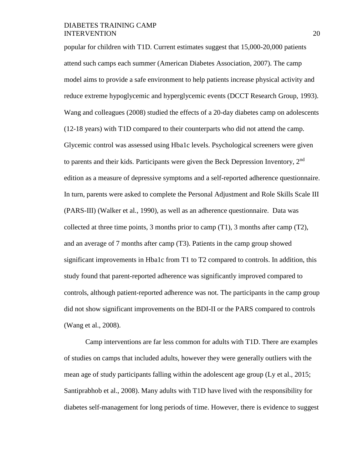popular for children with T1D. Current estimates suggest that 15,000-20,000 patients attend such camps each summer (American Diabetes Association, 2007). The camp model aims to provide a safe environment to help patients increase physical activity and reduce extreme hypoglycemic and hyperglycemic events (DCCT Research Group, 1993). Wang and colleagues (2008) studied the effects of a 20-day diabetes camp on adolescents (12-18 years) with T1D compared to their counterparts who did not attend the camp. Glycemic control was assessed using Hba1c levels. Psychological screeners were given to parents and their kids. Participants were given the Beck Depression Inventory,  $2<sup>nd</sup>$ edition as a measure of depressive symptoms and a self-reported adherence questionnaire. In turn, parents were asked to complete the Personal Adjustment and Role Skills Scale III (PARS-III) (Walker et al., 1990), as well as an adherence questionnaire. Data was collected at three time points, 3 months prior to camp  $(T1)$ , 3 months after camp  $(T2)$ , and an average of 7 months after camp (T3). Patients in the camp group showed significant improvements in Hba1c from T1 to T2 compared to controls. In addition, this study found that parent-reported adherence was significantly improved compared to controls, although patient-reported adherence was not. The participants in the camp group did not show significant improvements on the BDI-II or the PARS compared to controls (Wang et al., 2008).

Camp interventions are far less common for adults with T1D. There are examples of studies on camps that included adults, however they were generally outliers with the mean age of study participants falling within the adolescent age group (Ly et al., 2015; Santiprabhob et al., 2008). Many adults with T1D have lived with the responsibility for diabetes self-management for long periods of time. However, there is evidence to suggest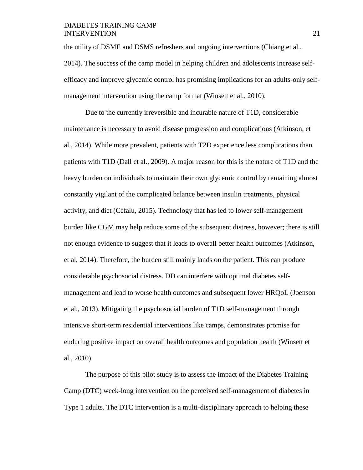the utility of DSME and DSMS refreshers and ongoing interventions (Chiang et al., 2014). The success of the camp model in helping children and adolescents increase selfefficacy and improve glycemic control has promising implications for an adults-only selfmanagement intervention using the camp format (Winsett et al., 2010).

Due to the currently irreversible and incurable nature of T1D, considerable maintenance is necessary to avoid disease progression and complications (Atkinson, et al., 2014). While more prevalent, patients with T2D experience less complications than patients with T1D (Dall et al., 2009). A major reason for this is the nature of T1D and the heavy burden on individuals to maintain their own glycemic control by remaining almost constantly vigilant of the complicated balance between insulin treatments, physical activity, and diet (Cefalu, 2015). Technology that has led to lower self-management burden like CGM may help reduce some of the subsequent distress, however; there is still not enough evidence to suggest that it leads to overall better health outcomes (Atkinson, et al, 2014). Therefore, the burden still mainly lands on the patient. This can produce considerable psychosocial distress. DD can interfere with optimal diabetes selfmanagement and lead to worse health outcomes and subsequent lower HRQoL (Joenson et al., 2013). Mitigating the psychosocial burden of T1D self-management through intensive short-term residential interventions like camps, demonstrates promise for enduring positive impact on overall health outcomes and population health (Winsett et al., 2010).

The purpose of this pilot study is to assess the impact of the Diabetes Training Camp (DTC) week-long intervention on the perceived self-management of diabetes in Type 1 adults. The DTC intervention is a multi-disciplinary approach to helping these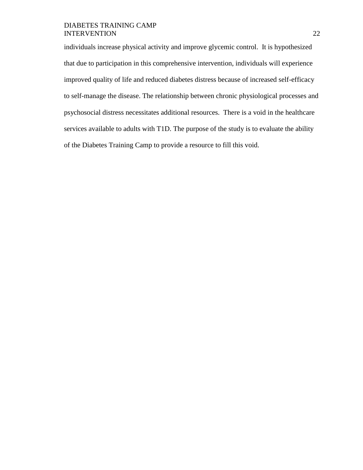individuals increase physical activity and improve glycemic control. It is hypothesized that due to participation in this comprehensive intervention, individuals will experience improved quality of life and reduced diabetes distress because of increased self-efficacy to self-manage the disease. The relationship between chronic physiological processes and psychosocial distress necessitates additional resources. There is a void in the healthcare services available to adults with T1D. The purpose of the study is to evaluate the ability of the Diabetes Training Camp to provide a resource to fill this void.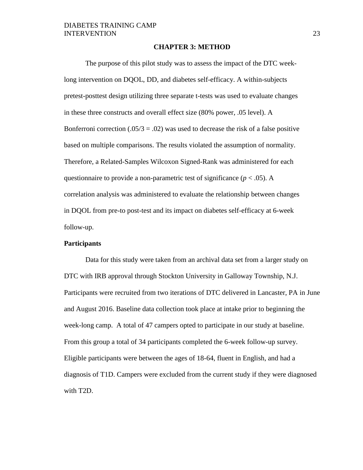#### **CHAPTER 3: METHOD**

The purpose of this pilot study was to assess the impact of the DTC weeklong intervention on DQOL, DD, and diabetes self-efficacy. A within-subjects pretest-posttest design utilizing three separate t-tests was used to evaluate changes in these three constructs and overall effect size (80% power, .05 level). A Bonferroni correction  $(.05/3 = .02)$  was used to decrease the risk of a false positive based on multiple comparisons. The results violated the assumption of normality. Therefore, a Related-Samples Wilcoxon Signed-Rank was administered for each questionnaire to provide a non-parametric test of significance ( $p < .05$ ). A correlation analysis was administered to evaluate the relationship between changes in DQOL from pre-to post-test and its impact on diabetes self-efficacy at 6-week follow-up.

#### **Participants**

Data for this study were taken from an archival data set from a larger study on DTC with IRB approval through Stockton University in Galloway Township, N.J. Participants were recruited from two iterations of DTC delivered in Lancaster, PA in June and August 2016. Baseline data collection took place at intake prior to beginning the week-long camp. A total of 47 campers opted to participate in our study at baseline. From this group a total of 34 participants completed the 6-week follow-up survey. Eligible participants were between the ages of 18-64, fluent in English, and had a diagnosis of T1D. Campers were excluded from the current study if they were diagnosed with T2D.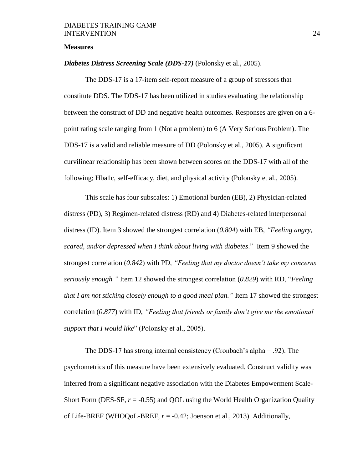#### **Measures**

#### *Diabetes Distress Screening Scale (DDS-17)* (Polonsky et al., 2005).

The DDS-17 is a 17-item self-report measure of a group of stressors that constitute DDS. The DDS-17 has been utilized in studies evaluating the relationship between the construct of DD and negative health outcomes. Responses are given on a 6 point rating scale ranging from 1 (Not a problem) to 6 (A Very Serious Problem). The DDS-17 is a valid and reliable measure of DD (Polonsky et al., 2005). A significant curvilinear relationship has been shown between scores on the DDS-17 with all of the following; Hba1c, self-efficacy, diet, and physical activity (Polonsky et al., 2005).

This scale has four subscales: 1) Emotional burden (EB), 2) Physician-related distress (PD), 3) Regimen-related distress (RD) and 4) Diabetes-related interpersonal distress (ID). Item 3 showed the strongest correlation (*0.804*) with EB, *"Feeling angry, scared, and/or depressed when I think about living with diabetes*." Item 9 showed the strongest correlation (*0.842*) with PD, *"Feeling that my doctor doesn't take my concerns seriously enough."* Item 12 showed the strongest correlation (*0.829*) with RD, "*Feeling that I am not sticking closely enough to a good meal plan."* Item 17 showed the strongest correlation (*0.877*) with ID, *"Feeling that friends or family don't give me the emotional support that I would like*" (Polonsky et al., 2005).

The DDS-17 has strong internal consistency (Cronbach's alpha = .92). The psychometrics of this measure have been extensively evaluated. Construct validity was inferred from a significant negative association with the Diabetes Empowerment Scale-Short Form (DES-SF,  $r = -0.55$ ) and QOL using the World Health Organization Quality of Life-BREF (WHOQoL-BREF,  $r = -0.42$ ; Joenson et al., 2013). Additionally,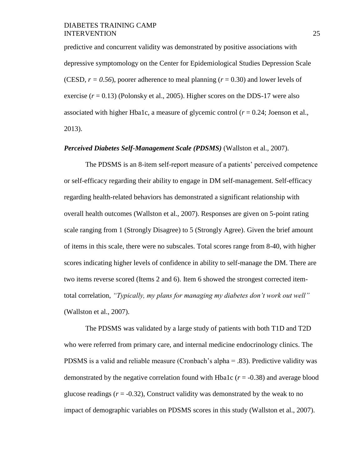predictive and concurrent validity was demonstrated by positive associations with depressive symptomology on the Center for Epidemiological Studies Depression Scale (CESD,  $r = 0.56$ ), poorer adherence to meal planning ( $r = 0.30$ ) and lower levels of exercise  $(r = 0.13)$  (Polonsky et al., 2005). Higher scores on the DDS-17 were also associated with higher Hba1c, a measure of glycemic control  $(r = 0.24)$ ; Joenson et al., 2013).

#### *Perceived Diabetes Self-Management Scale (PDSMS)* (Wallston et al., 2007).

The PDSMS is an 8-item self-report measure of a patients' perceived competence or self-efficacy regarding their ability to engage in DM self-management. Self-efficacy regarding health-related behaviors has demonstrated a significant relationship with overall health outcomes (Wallston et al., 2007). Responses are given on 5-point rating scale ranging from 1 (Strongly Disagree) to 5 (Strongly Agree). Given the brief amount of items in this scale, there were no subscales. Total scores range from 8-40, with higher scores indicating higher levels of confidence in ability to self-manage the DM. There are two items reverse scored (Items 2 and 6). Item 6 showed the strongest corrected itemtotal correlation, *"Typically, my plans for managing my diabetes don't work out well"* (Wallston et al., 2007).

The PDSMS was validated by a large study of patients with both T1D and T2D who were referred from primary care, and internal medicine endocrinology clinics. The PDSMS is a valid and reliable measure (Cronbach's alpha = .83). Predictive validity was demonstrated by the negative correlation found with Hba1c (*r* = -0.38) and average blood glucose readings  $(r = -0.32)$ , Construct validity was demonstrated by the weak to no impact of demographic variables on PDSMS scores in this study (Wallston et al., 2007).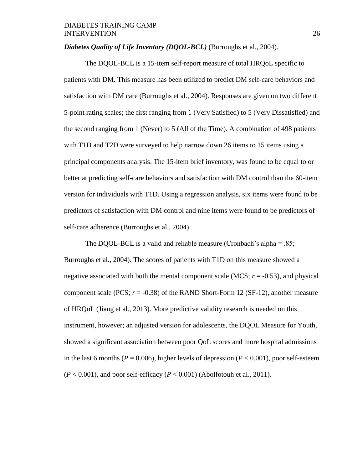# *Diabetes Quality of Life Inventory (DQOL-BCL)* (Burroughs et al., 2004).

The DQOL-BCL is a 15-item self-report measure of total HRQoL specific to patients with DM. This measure has been utilized to predict DM self-care behaviors and satisfaction with DM care (Burroughs et al., 2004). Responses are given on two different 5-point rating scales; the first ranging from 1 (Very Satisfied) to 5 (Very Dissatisfied) and the second ranging from 1 (Never) to 5 (All of the Time). A combination of 498 patients with T1D and T2D were surveyed to help narrow down 26 items to 15 items using a principal components analysis. The 15-item brief inventory, was found to be equal to or better at predicting self-care behaviors and satisfaction with DM control than the 60-item version for individuals with T1D. Using a regression analysis, six items were found to be predictors of satisfaction with DM control and nine items were found to be predictors of self-care adherence (Burroughs et al., 2004).

The DQOL-BCL is a valid and reliable measure (Cronbach's alpha =  $.85$ ; Burroughs et al., 2004). The scores of patients with T1D on this measure showed a negative associated with both the mental component scale (MCS;  $r = -0.53$ ), and physical component scale (PCS;  $r = -0.38$ ) of the RAND Short-Form 12 (SF-12), another measure of HRQoL (Jiang et al., 2013). More predictive validity research is needed on this instrument, however; an adjusted version for adolescents, the DQOL Measure for Youth, showed a significant association between poor QoL scores and more hospital admissions in the last 6 months ( $P = 0.006$ ), higher levels of depression ( $P < 0.001$ ), poor self-esteem  $(P < 0.001)$ , and poor self-efficacy  $(P < 0.001)$  (Abolfotouh et al., 2011).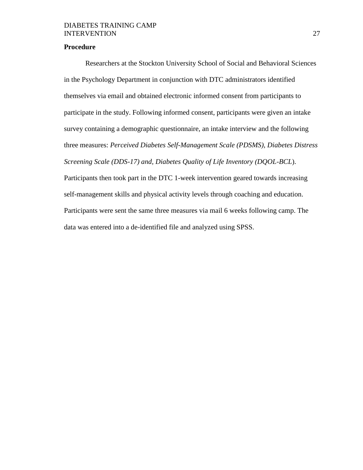# **Procedure**

Researchers at the Stockton University School of Social and Behavioral Sciences in the Psychology Department in conjunction with DTC administrators identified themselves via email and obtained electronic informed consent from participants to participate in the study. Following informed consent, participants were given an intake survey containing a demographic questionnaire, an intake interview and the following three measures: *Perceived Diabetes Self-Management Scale (PDSMS), Diabetes Distress Screening Scale (DDS-17) and, Diabetes Quality of Life Inventory (DQOL-BCL*). Participants then took part in the DTC 1-week intervention geared towards increasing self-management skills and physical activity levels through coaching and education. Participants were sent the same three measures via mail 6 weeks following camp. The

data was entered into a de-identified file and analyzed using SPSS.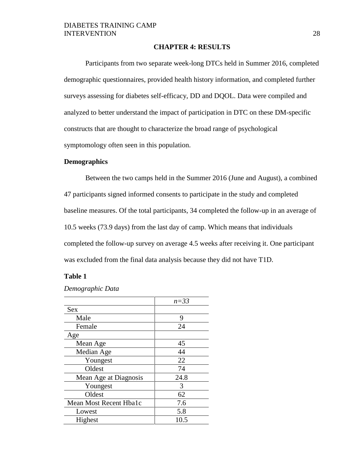#### **CHAPTER 4: RESULTS**

Participants from two separate week-long DTCs held in Summer 2016, completed demographic questionnaires, provided health history information, and completed further surveys assessing for diabetes self-efficacy, DD and DQOL. Data were compiled and analyzed to better understand the impact of participation in DTC on these DM-specific constructs that are thought to characterize the broad range of psychological symptomology often seen in this population.

#### **Demographics**

Between the two camps held in the Summer 2016 (June and August), a combined 47 participants signed informed consents to participate in the study and completed baseline measures. Of the total participants, 34 completed the follow-up in an average of 10.5 weeks (73.9 days) from the last day of camp. Which means that individuals completed the follow-up survey on average 4.5 weeks after receiving it. One participant was excluded from the final data analysis because they did not have T1D.

#### **Table 1**

#### *Demographic Data*

|                        | $n = 33$ |
|------------------------|----------|
| <b>Sex</b>             |          |
| Male                   | 9        |
| Female                 | 24       |
| Age                    |          |
| Mean Age               | 45       |
| Median Age             | 44       |
| Youngest               | 22       |
| Oldest                 | 74       |
| Mean Age at Diagnosis  | 24.8     |
| Youngest               | 3        |
| Oldest                 | 62       |
| Mean Most Recent Hba1c | 7.6      |
| Lowest                 | 5.8      |
| Highest                | 10.5     |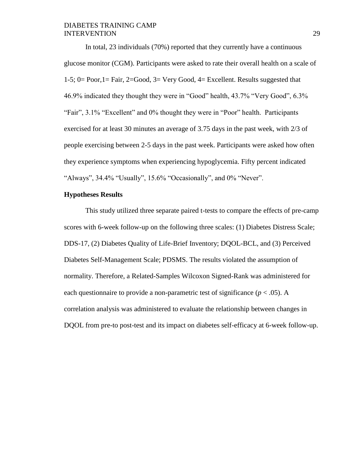In total, 23 individuals (70%) reported that they currently have a continuous glucose monitor (CGM). Participants were asked to rate their overall health on a scale of 1-5; 0= Poor,1= Fair, 2=Good, 3= Very Good, 4= Excellent. Results suggested that 46.9% indicated they thought they were in "Good" health, 43.7% "Very Good", 6.3% "Fair", 3.1% "Excellent" and 0% thought they were in "Poor" health. Participants exercised for at least 30 minutes an average of 3.75 days in the past week, with 2/3 of people exercising between 2-5 days in the past week. Participants were asked how often they experience symptoms when experiencing hypoglycemia. Fifty percent indicated "Always", 34.4% "Usually", 15.6% "Occasionally", and 0% "Never".

# **Hypotheses Results**

This study utilized three separate paired t-tests to compare the effects of pre-camp scores with 6-week follow-up on the following three scales: (1) Diabetes Distress Scale; DDS-17, (2) Diabetes Quality of Life-Brief Inventory; DQOL-BCL, and (3) Perceived Diabetes Self-Management Scale; PDSMS. The results violated the assumption of normality. Therefore, a Related-Samples Wilcoxon Signed-Rank was administered for each questionnaire to provide a non-parametric test of significance  $(p < .05)$ . A correlation analysis was administered to evaluate the relationship between changes in DQOL from pre-to post-test and its impact on diabetes self-efficacy at 6-week follow-up.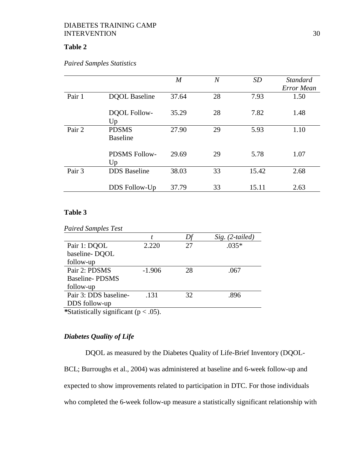# **Table 2**

# *Paired Samples Statistics*

|        |                                 | $\boldsymbol{M}$ | $\overline{N}$ | SD    | <b>Standard</b><br>Error Mean |
|--------|---------------------------------|------------------|----------------|-------|-------------------------------|
| Pair 1 | <b>DQOL</b> Baseline            | 37.64            | 28             | 7.93  | 1.50                          |
|        | <b>DQOL Follow-</b><br>Up       | 35.29            | 28             | 7.82  | 1.48                          |
| Pair 2 | <b>PDSMS</b><br><b>Baseline</b> | 27.90            | 29             | 5.93  | 1.10                          |
|        | <b>PDSMS Follow-</b><br>Up      | 29.69            | 29             | 5.78  | 1.07                          |
| Pair 3 | <b>DDS</b> Baseline             | 38.03            | 33             | 15.42 | 2.68                          |
|        | DDS Follow-Up                   | 37.79            | 33             | 15.11 | 2.63                          |

# **Table 3**

|                       |          |    | $Sig. (2-tailed)$ |
|-----------------------|----------|----|-------------------|
| Pair 1: DQOL          | 2.220    | 27 | $.035*$           |
| baseline-DQOL         |          |    |                   |
| follow-up             |          |    |                   |
| Pair 2: PDSMS         | $-1.906$ | 28 | .067              |
| Baseline-PDSMS        |          |    |                   |
| follow-up             |          |    |                   |
| Pair 3: DDS baseline- | .131     | 32 | -896              |
| DDS follow-up         |          |    |                   |

# *Diabetes Quality of Life*

DQOL as measured by the Diabetes Quality of Life-Brief Inventory (DQOL-BCL; Burroughs et al., 2004) was administered at baseline and 6-week follow-up and expected to show improvements related to participation in DTC. For those individuals who completed the 6-week follow-up measure a statistically significant relationship with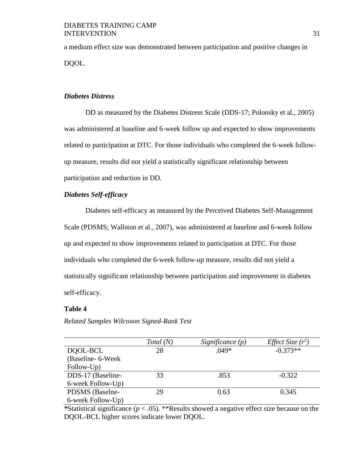a medium effect size was demonstrated between participation and positive changes in DQOL.

# *Diabetes Distress*

DD as measured by the Diabetes Distress Scale (DDS-17; Polonsky et al., 2005) was administered at baseline and 6-week follow up and expected to show improvements related to participation at DTC. For those individuals who completed the 6-week followup measure, results did not yield a statistically significant relationship between participation and reduction in DD.

# *Diabetes Self-efficacy*

Diabetes self-efficacy as measured by the Perceived Diabetes Self-Management Scale (PDSMS; Wallston et al., 2007), was administered at baseline and 6-week follow up and expected to show improvements related to participation at DTC. For those individuals who completed the 6-week follow-up measure, results did not yield a statistically significant relationship between participation and improvement in diabetes self-efficacy.

#### **Table 4**

*Related Samples Wilcoxon Signed-Rank Test*

|                    | Total (N) | Significance $(p)$ | Effect Size $(r^2)$ |
|--------------------|-----------|--------------------|---------------------|
| DOOL-BCL           | 28        | $.049*$            | $-0.373**$          |
| (Baseline- 6-Week) |           |                    |                     |
| Follow-Up)         |           |                    |                     |
| DDS-17 (Baseline-  | 33        | .853               | $-0.322$            |
| 6-week Follow-Up)  |           |                    |                     |
| PDSMS (Baselne-    | 29        | 0.63               | 0.345               |
| 6-week Follow-Up)  |           |                    |                     |

*\**Statistical significance (*p* < .05). \*\*Results showed a negative effect size because on the DQOL-BCL higher scores indicate lower DQOL.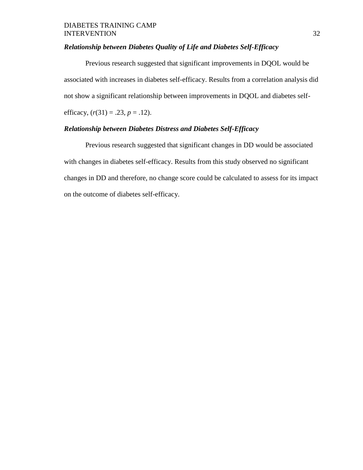# *Relationship between Diabetes Quality of Life and Diabetes Self-Efficacy*

Previous research suggested that significant improvements in DQOL would be associated with increases in diabetes self-efficacy. Results from a correlation analysis did not show a significant relationship between improvements in DQOL and diabetes selfefficacy,  $(r(31) = .23, p = .12)$ .

# *Relationship between Diabetes Distress and Diabetes Self-Efficacy*

Previous research suggested that significant changes in DD would be associated with changes in diabetes self-efficacy. Results from this study observed no significant changes in DD and therefore, no change score could be calculated to assess for its impact on the outcome of diabetes self-efficacy.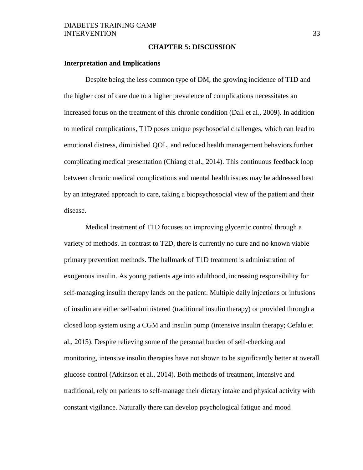#### **CHAPTER 5: DISCUSSION**

#### **Interpretation and Implications**

Despite being the less common type of DM, the growing incidence of T1D and the higher cost of care due to a higher prevalence of complications necessitates an increased focus on the treatment of this chronic condition (Dall et al., 2009). In addition to medical complications, T1D poses unique psychosocial challenges, which can lead to emotional distress, diminished QOL, and reduced health management behaviors further complicating medical presentation (Chiang et al., 2014). This continuous feedback loop between chronic medical complications and mental health issues may be addressed best by an integrated approach to care, taking a biopsychosocial view of the patient and their disease.

Medical treatment of T1D focuses on improving glycemic control through a variety of methods. In contrast to T2D, there is currently no cure and no known viable primary prevention methods. The hallmark of T1D treatment is administration of exogenous insulin. As young patients age into adulthood, increasing responsibility for self-managing insulin therapy lands on the patient. Multiple daily injections or infusions of insulin are either self-administered (traditional insulin therapy) or provided through a closed loop system using a CGM and insulin pump (intensive insulin therapy; Cefalu et al., 2015). Despite relieving some of the personal burden of self-checking and monitoring, intensive insulin therapies have not shown to be significantly better at overall glucose control (Atkinson et al., 2014). Both methods of treatment, intensive and traditional, rely on patients to self-manage their dietary intake and physical activity with constant vigilance. Naturally there can develop psychological fatigue and mood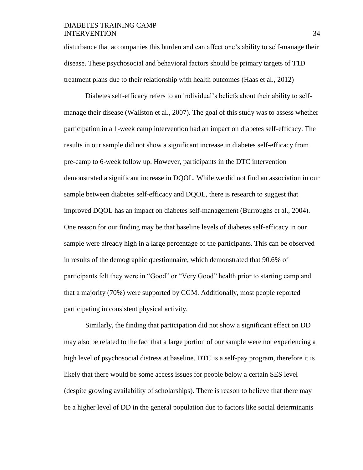disturbance that accompanies this burden and can affect one's ability to self-manage their disease. These psychosocial and behavioral factors should be primary targets of T1D treatment plans due to their relationship with health outcomes (Haas et al., 2012)

Diabetes self-efficacy refers to an individual's beliefs about their ability to selfmanage their disease (Wallston et al., 2007). The goal of this study was to assess whether participation in a 1-week camp intervention had an impact on diabetes self-efficacy. The results in our sample did not show a significant increase in diabetes self-efficacy from pre-camp to 6-week follow up. However, participants in the DTC intervention demonstrated a significant increase in DQOL. While we did not find an association in our sample between diabetes self-efficacy and DQOL, there is research to suggest that improved DQOL has an impact on diabetes self-management (Burroughs et al., 2004). One reason for our finding may be that baseline levels of diabetes self-efficacy in our sample were already high in a large percentage of the participants. This can be observed in results of the demographic questionnaire, which demonstrated that 90.6% of participants felt they were in "Good" or "Very Good" health prior to starting camp and that a majority (70%) were supported by CGM. Additionally, most people reported participating in consistent physical activity.

Similarly, the finding that participation did not show a significant effect on DD may also be related to the fact that a large portion of our sample were not experiencing a high level of psychosocial distress at baseline. DTC is a self-pay program, therefore it is likely that there would be some access issues for people below a certain SES level (despite growing availability of scholarships). There is reason to believe that there may be a higher level of DD in the general population due to factors like social determinants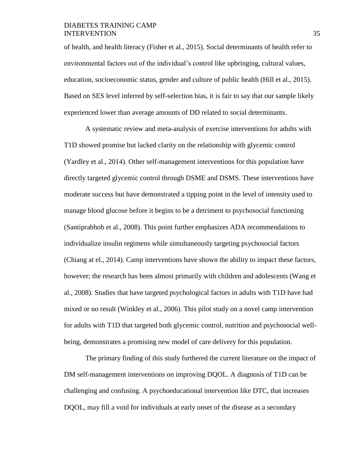of health, and health literacy (Fisher et al., 2015). Social determinants of health refer to environmental factors out of the individual's control like upbringing, cultural values, education, socioeconomic status, gender and culture of public health (Hill et al., 2015). Based on SES level inferred by self-selection bias, it is fair to say that our sample likely experienced lower than average amounts of DD related to social determinants.

A systematic review and meta-analysis of exercise interventions for adults with T1D showed promise but lacked clarity on the relationship with glycemic control (Yardley et al., 2014). Other self-management interventions for this population have directly targeted glycemic control through DSME and DSMS. These interventions have moderate success but have demonstrated a tipping point in the level of intensity used to manage blood glucose before it begins to be a detriment to psychosocial functioning (Santiprabhob et al., 2008). This point further emphasizes ADA recommendations to individualize insulin regimens while simultaneously targeting psychosocial factors (Chiang at el., 2014). Camp interventions have shown the ability to impact these factors, however; the research has been almost primarily with children and adolescents (Wang et al., 2008). Studies that have targeted psychological factors in adults with T1D have had mixed or no result (Winkley et al., 2006). This pilot study on a novel camp intervention for adults with T1D that targeted both glycemic control, nutrition and psychosocial wellbeing, demonstrates a promising new model of care delivery for this population.

The primary finding of this study furthered the current literature on the impact of DM self-management interventions on improving DQOL. A diagnosis of T1D can be challenging and confusing. A psychoeducational intervention like DTC, that increases DQOL, may fill a void for individuals at early onset of the disease as a secondary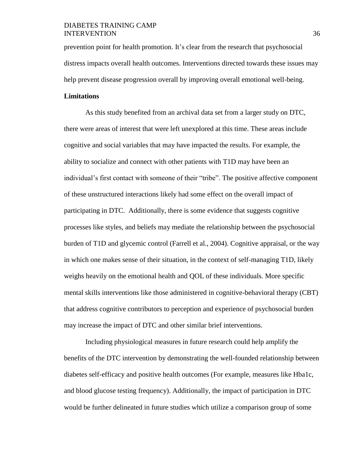prevention point for health promotion. It's clear from the research that psychosocial distress impacts overall health outcomes. Interventions directed towards these issues may help prevent disease progression overall by improving overall emotional well-being.

# **Limitations**

As this study benefited from an archival data set from a larger study on DTC, there were areas of interest that were left unexplored at this time. These areas include cognitive and social variables that may have impacted the results. For example, the ability to socialize and connect with other patients with T1D may have been an individual's first contact with someone of their "tribe". The positive affective component of these unstructured interactions likely had some effect on the overall impact of participating in DTC. Additionally, there is some evidence that suggests cognitive processes like styles, and beliefs may mediate the relationship between the psychosocial burden of T1D and glycemic control (Farrell et al., 2004). Cognitive appraisal, or the way in which one makes sense of their situation, in the context of self-managing T1D, likely weighs heavily on the emotional health and QOL of these individuals. More specific mental skills interventions like those administered in cognitive-behavioral therapy (CBT) that address cognitive contributors to perception and experience of psychosocial burden may increase the impact of DTC and other similar brief interventions.

Including physiological measures in future research could help amplify the benefits of the DTC intervention by demonstrating the well-founded relationship between diabetes self-efficacy and positive health outcomes (For example, measures like Hba1c, and blood glucose testing frequency). Additionally, the impact of participation in DTC would be further delineated in future studies which utilize a comparison group of some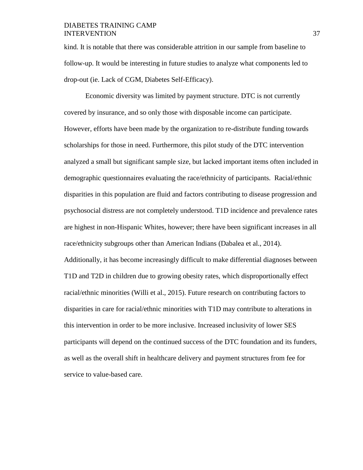kind. It is notable that there was considerable attrition in our sample from baseline to follow-up. It would be interesting in future studies to analyze what components led to drop-out (ie. Lack of CGM, Diabetes Self-Efficacy).

Economic diversity was limited by payment structure. DTC is not currently covered by insurance, and so only those with disposable income can participate. However, efforts have been made by the organization to re-distribute funding towards scholarships for those in need. Furthermore, this pilot study of the DTC intervention analyzed a small but significant sample size, but lacked important items often included in demographic questionnaires evaluating the race/ethnicity of participants. Racial/ethnic disparities in this population are fluid and factors contributing to disease progression and psychosocial distress are not completely understood. T1D incidence and prevalence rates are highest in non-Hispanic Whites, however; there have been significant increases in all race/ethnicity subgroups other than American Indians (Dabalea et al., 2014). Additionally, it has become increasingly difficult to make differential diagnoses between T1D and T2D in children due to growing obesity rates, which disproportionally effect racial/ethnic minorities (Willi et al., 2015). Future research on contributing factors to disparities in care for racial/ethnic minorities with T1D may contribute to alterations in this intervention in order to be more inclusive. Increased inclusivity of lower SES participants will depend on the continued success of the DTC foundation and its funders, as well as the overall shift in healthcare delivery and payment structures from fee for service to value-based care.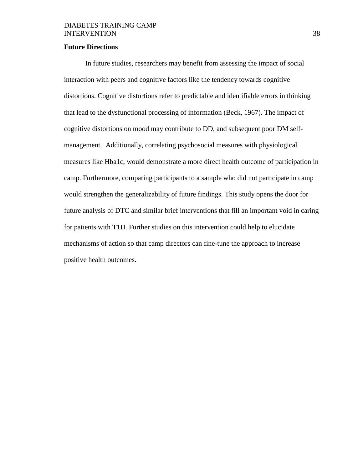#### **Future Directions**

In future studies, researchers may benefit from assessing the impact of social interaction with peers and cognitive factors like the tendency towards cognitive distortions. Cognitive distortions refer to predictable and identifiable errors in thinking that lead to the dysfunctional processing of information (Beck, 1967). The impact of cognitive distortions on mood may contribute to DD, and subsequent poor DM selfmanagement. Additionally, correlating psychosocial measures with physiological measures like Hba1c, would demonstrate a more direct health outcome of participation in camp. Furthermore, comparing participants to a sample who did not participate in camp would strengthen the generalizability of future findings. This study opens the door for future analysis of DTC and similar brief interventions that fill an important void in caring for patients with T1D. Further studies on this intervention could help to elucidate mechanisms of action so that camp directors can fine-tune the approach to increase positive health outcomes.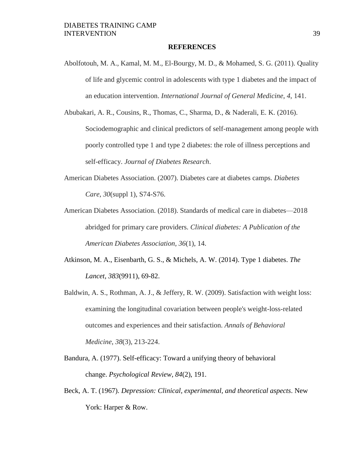#### **REFERENCES**

- Abolfotouh, M. A., Kamal, M. M., El-Bourgy, M. D., & Mohamed, S. G. (2011). Quality of life and glycemic control in adolescents with type 1 diabetes and the impact of an education intervention. *International Journal of General Medicine*, *4*, 141.
- Abubakari, A. R., Cousins, R., Thomas, C., Sharma, D., & Naderali, E. K. (2016). Sociodemographic and clinical predictors of self-management among people with poorly controlled type 1 and type 2 diabetes: the role of illness perceptions and self-efficacy. *Journal of Diabetes Research*.
- American Diabetes Association. (2007). Diabetes care at diabetes camps. *Diabetes Care*, *30*(suppl 1), S74-S76.
- American Diabetes Association. (2018). Standards of medical care in diabetes—2018 abridged for primary care providers. *Clinical diabetes: A Publication of the American Diabetes Association*, *36*(1), 14.
- Atkinson, M. A., Eisenbarth, G. S., & Michels, A. W. (2014). Type 1 diabetes. *The Lancet*, *383*(9911), 69-82.
- Baldwin, A. S., Rothman, A. J., & Jeffery, R. W. (2009). Satisfaction with weight loss: examining the longitudinal covariation between people's weight-loss-related outcomes and experiences and their satisfaction. *Annals of Behavioral Medicine*, *38*(3), 213-224.
- Bandura, A. (1977). Self-efficacy: Toward a unifying theory of behavioral change. *Psychological Review*, *84*(2), 191.
- Beck, A. T. (1967). *Depression: Clinical, experimental, and theoretical aspects*. New York: Harper & Row.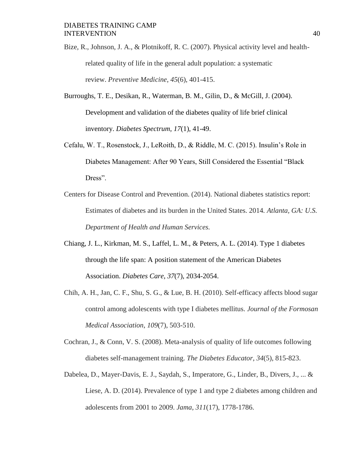Bize, R., Johnson, J. A., & Plotnikoff, R. C. (2007). Physical activity level and healthrelated quality of life in the general adult population: a systematic review. *Preventive Medicine*, *45*(6), 401-415.

- Burroughs, T. E., Desikan, R., Waterman, B. M., Gilin, D., & McGill, J. (2004). Development and validation of the diabetes quality of life brief clinical inventory. *Diabetes Spectrum*, *17*(1), 41-49.
- Cefalu, W. T., Rosenstock, J., LeRoith, D., & Riddle, M. C. (2015). Insulin's Role in Diabetes Management: After 90 Years, Still Considered the Essential "Black Dress".
- Centers for Disease Control and Prevention. (2014). National diabetes statistics report: Estimates of diabetes and its burden in the United States. 2014*. Atlanta, GA: U.S. Department of Health and Human Services.*
- Chiang, J. L., Kirkman, M. S., Laffel, L. M., & Peters, A. L. (2014). Type 1 diabetes through the life span: A position statement of the American Diabetes Association. *Diabetes Care*, *37*(7), 2034-2054.
- Chih, A. H., Jan, C. F., Shu, S. G., & Lue, B. H. (2010). Self-efficacy affects blood sugar control among adolescents with type I diabetes mellitus. *Journal of the Formosan Medical Association*, *109*(7), 503-510.
- Cochran, J., & Conn, V. S. (2008). Meta-analysis of quality of life outcomes following diabetes self-management training. *The Diabetes Educator*, *34*(5), 815-823.
- Dabelea, D., Mayer-Davis, E. J., Saydah, S., Imperatore, G., Linder, B., Divers, J., ... & Liese, A. D. (2014). Prevalence of type 1 and type 2 diabetes among children and adolescents from 2001 to 2009. *Jama*, *311*(17), 1778-1786.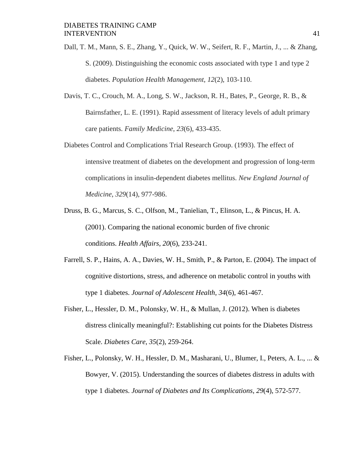- Dall, T. M., Mann, S. E., Zhang, Y., Quick, W. W., Seifert, R. F., Martin, J., ... & Zhang, S. (2009). Distinguishing the economic costs associated with type 1 and type 2 diabetes. *Population Health Management*, *12*(2), 103-110.
- Davis, T. C., Crouch, M. A., Long, S. W., Jackson, R. H., Bates, P., George, R. B., & Bairnsfather, L. E. (1991). Rapid assessment of literacy levels of adult primary care patients. *Family Medicine*, *23*(6), 433-435.
- Diabetes Control and Complications Trial Research Group. (1993). The effect of intensive treatment of diabetes on the development and progression of long-term complications in insulin-dependent diabetes mellitus. *New England Journal of Medicine*, *329*(14), 977-986.
- Druss, B. G., Marcus, S. C., Olfson, M., Tanielian, T., Elinson, L., & Pincus, H. A. (2001). Comparing the national economic burden of five chronic conditions. *Health Affairs*, *20*(6), 233-241.
- Farrell, S. P., Hains, A. A., Davies, W. H., Smith, P., & Parton, E. (2004). The impact of cognitive distortions, stress, and adherence on metabolic control in youths with type 1 diabetes. *Journal of Adolescent Health*, *34*(6), 461-467.
- Fisher, L., Hessler, D. M., Polonsky, W. H., & Mullan, J. (2012). When is diabetes distress clinically meaningful?: Establishing cut points for the Diabetes Distress Scale. *Diabetes Care*, *35*(2), 259-264.
- Fisher, L., Polonsky, W. H., Hessler, D. M., Masharani, U., Blumer, I., Peters, A. L., ... & Bowyer, V. (2015). Understanding the sources of diabetes distress in adults with type 1 diabetes. *Journal of Diabetes and Its Complications*, *29*(4), 572-577.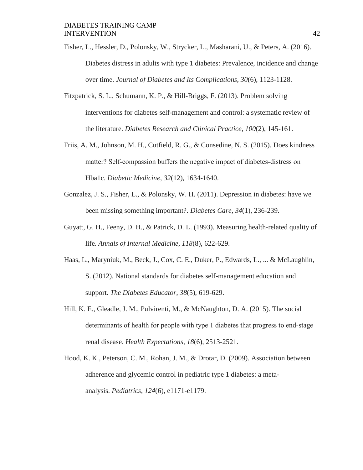Fisher, L., Hessler, D., Polonsky, W., Strycker, L., Masharani, U., & Peters, A. (2016). Diabetes distress in adults with type 1 diabetes: Prevalence, incidence and change over time. *Journal of Diabetes and Its Complications*, *30*(6), 1123-1128.

- Fitzpatrick, S. L., Schumann, K. P., & Hill-Briggs, F. (2013). Problem solving interventions for diabetes self-management and control: a systematic review of the literature. *Diabetes Research and Clinical Practice*, *100*(2), 145-161.
- Friis, A. M., Johnson, M. H., Cutfield, R. G., & Consedine, N. S. (2015). Does kindness matter? Self-compassion buffers the negative impact of diabetes-distress on Hba1c. *Diabetic Medicine*, *32*(12), 1634-1640.
- Gonzalez, J. S., Fisher, L., & Polonsky, W. H. (2011). Depression in diabetes: have we been missing something important?. *Diabetes Care*, *34*(1), 236-239.
- Guyatt, G. H., Feeny, D. H., & Patrick, D. L. (1993). Measuring health-related quality of life. *Annals of Internal Medicine*, *118*(8), 622-629.
- Haas, L., Maryniuk, M., Beck, J., Cox, C. E., Duker, P., Edwards, L., ... & McLaughlin, S. (2012). National standards for diabetes self-management education and support. *The Diabetes Educator*, *38*(5), 619-629.
- Hill, K. E., Gleadle, J. M., Pulvirenti, M., & McNaughton, D. A. (2015). The social determinants of health for people with type 1 diabetes that progress to end‐stage renal disease. *Health Expectations*, *18*(6), 2513-2521.
- Hood, K. K., Peterson, C. M., Rohan, J. M., & Drotar, D. (2009). Association between adherence and glycemic control in pediatric type 1 diabetes: a metaanalysis. *Pediatrics*, *124*(6), e1171-e1179.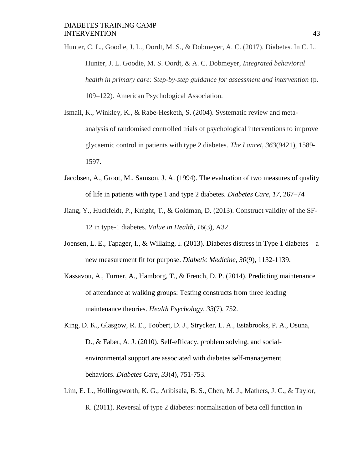Hunter, C. L., Goodie, J. L., Oordt, M. S., & Dobmeyer, A. C. (2017). Diabetes. In C. L. Hunter, J. L. Goodie, M. S. Oordt, & A. C. Dobmeyer, *Integrated behavioral health in primary care: Step-by-step guidance for assessment and intervention* (p. 109–122). American Psychological Association.

- Ismail, K., Winkley, K., & Rabe-Hesketh, S. (2004). Systematic review and metaanalysis of randomised controlled trials of psychological interventions to improve glycaemic control in patients with type 2 diabetes. *The Lancet*, *363*(9421), 1589- 1597.
- Jacobsen, A., Groot, M., Samson, J. A. (1994). The evaluation of two measures of quality of life in patients with type 1 and type 2 diabetes. *Diabetes Care*, *17*, 267–74
- Jiang, Y., Huckfeldt, P., Knight, T., & Goldman, D. (2013). Construct validity of the SF-12 in type-1 diabetes. *Value in Health*, *16*(3), A32.
- Joensen, L. E., Tapager, I., & Willaing, I. (2013). Diabetes distress in Type 1 diabetes—a new measurement fit for purpose. *Diabetic Medicine*, *30*(9), 1132-1139.
- Kassavou, A., Turner, A., Hamborg, T., & French, D. P. (2014). Predicting maintenance of attendance at walking groups: Testing constructs from three leading maintenance theories. *Health Psychology*, *33*(7), 752.
- King, D. K., Glasgow, R. E., Toobert, D. J., Strycker, L. A., Estabrooks, P. A., Osuna, D., & Faber, A. J. (2010). Self-efficacy, problem solving, and socialenvironmental support are associated with diabetes self-management behaviors. *Diabetes Care*, *33*(4), 751-753.
- Lim, E. L., Hollingsworth, K. G., Aribisala, B. S., Chen, M. J., Mathers, J. C., & Taylor, R. (2011). Reversal of type 2 diabetes: normalisation of beta cell function in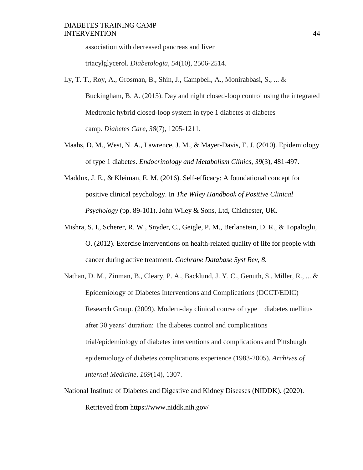association with decreased pancreas and liver

triacylglycerol. *Diabetologia*, *54*(10), 2506-2514.

- Ly, T. T., Roy, A., Grosman, B., Shin, J., Campbell, A., Monirabbasi, S., ... & Buckingham, B. A. (2015). Day and night closed-loop control using the integrated Medtronic hybrid closed-loop system in type 1 diabetes at diabetes camp. *Diabetes Care*, *38*(7), 1205-1211.
- Maahs, D. M., West, N. A., Lawrence, J. M., & Mayer-Davis, E. J. (2010). Epidemiology of type 1 diabetes. *Endocrinology and Metabolism Clinics*, *39*(3), 481-497.
- Maddux, J. E., & Kleiman, E. M. (2016). Self-efficacy: A foundational concept for positive clinical psychology. In *The Wiley Handbook of Positive Clinical Psychology* (pp. 89-101). John Wiley & Sons, Ltd, Chichester, UK.
- Mishra, S. I., Scherer, R. W., Snyder, C., Geigle, P. M., Berlanstein, D. R., & Topaloglu, O. (2012). Exercise interventions on health-related quality of life for people with cancer during active treatment. *Cochrane Database Syst Rev*, *8*.
- Nathan, D. M., Zinman, B., Cleary, P. A., Backlund, J. Y. C., Genuth, S., Miller, R., ... & Epidemiology of Diabetes Interventions and Complications (DCCT/EDIC) Research Group. (2009). Modern-day clinical course of type 1 diabetes mellitus after 30 years' duration: The diabetes control and complications trial/epidemiology of diabetes interventions and complications and Pittsburgh epidemiology of diabetes complications experience (1983-2005). *Archives of Internal Medicine*, *169*(14), 1307.
- National Institute of Diabetes and Digestive and Kidney Diseases (NIDDK). (2020). Retrieved from https://www.niddk.nih.gov/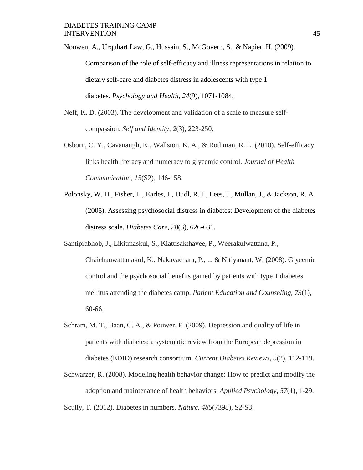Nouwen, A., Urquhart Law, G., Hussain, S., McGovern, S., & Napier, H. (2009).

Comparison of the role of self-efficacy and illness representations in relation to dietary self-care and diabetes distress in adolescents with type 1 diabetes. *Psychology and Health*, *24*(9), 1071-1084.

- Neff, K. D. (2003). The development and validation of a scale to measure selfcompassion. *Self and Identity*, *2*(3), 223-250.
- Osborn, C. Y., Cavanaugh, K., Wallston, K. A., & Rothman, R. L. (2010). Self-efficacy links health literacy and numeracy to glycemic control. *Journal of Health Communication*, *15*(S2), 146-158.
- Polonsky, W. H., Fisher, L., Earles, J., Dudl, R. J., Lees, J., Mullan, J., & Jackson, R. A. (2005). Assessing psychosocial distress in diabetes: Development of the diabetes distress scale. *Diabetes Care*, *28*(3), 626-631.
- Santiprabhob, J., Likitmaskul, S., Kiattisakthavee, P., Weerakulwattana, P., Chaichanwattanakul, K., Nakavachara, P., ... & Nitiyanant, W. (2008). Glycemic control and the psychosocial benefits gained by patients with type 1 diabetes mellitus attending the diabetes camp. *Patient Education and Counseling*, *73*(1), 60-66.
- Schram, M. T., Baan, C. A., & Pouwer, F. (2009). Depression and quality of life in patients with diabetes: a systematic review from the European depression in diabetes (EDID) research consortium. *Current Diabetes Reviews*, *5*(2), 112-119.
- Schwarzer, R. (2008). Modeling health behavior change: How to predict and modify the adoption and maintenance of health behaviors. *Applied Psychology*, *57*(1), 1-29.

Scully, T. (2012). Diabetes in numbers. *Nature*, *485*(7398), S2-S3.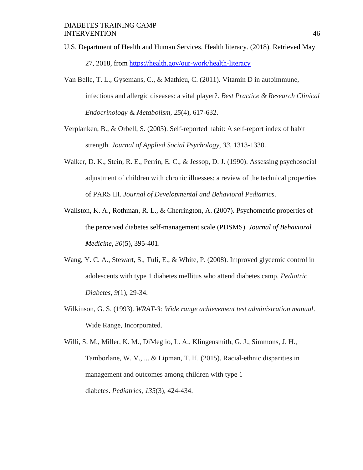- U.S. Department of Health and Human Services. Health literacy. (2018). Retrieved May 27, 2018, from https://health.gov/our-work/health-literacy
- Van Belle, T. L., Gysemans, C., & Mathieu, C. (2011). Vitamin D in autoimmune, infectious and allergic diseases: a vital player?. *Best Practice & Research Clinical Endocrinology & Metabolism*, *25*(4), 617-632.
- Verplanken, B., & Orbell, S. (2003). Self-reported habit: A self-report index of habit strength. *Journal of Applied Social Psychology*, *33*, 1313-1330.
- Walker, D. K., Stein, R. E., Perrin, E. C., & Jessop, D. J. (1990). Assessing psychosocial adjustment of children with chronic illnesses: a review of the technical properties of PARS III. *Journal of Developmental and Behavioral Pediatrics*.
- Wallston, K. A., Rothman, R. L., & Cherrington, A. (2007). Psychometric properties of the perceived diabetes self-management scale (PDSMS). *Journal of Behavioral Medicine*, *30*(5), 395-401.
- Wang, Y. C. A., Stewart, S., Tuli, E., & White, P. (2008). Improved glycemic control in adolescents with type 1 diabetes mellitus who attend diabetes camp. *Pediatric Diabetes*, *9*(1), 29-34.
- Wilkinson, G. S. (1993). *WRAT-3: Wide range achievement test administration manual*. Wide Range, Incorporated.

Willi, S. M., Miller, K. M., DiMeglio, L. A., Klingensmith, G. J., Simmons, J. H., Tamborlane, W. V., ... & Lipman, T. H. (2015). Racial-ethnic disparities in management and outcomes among children with type 1 diabetes. *Pediatrics*, *135*(3), 424-434.